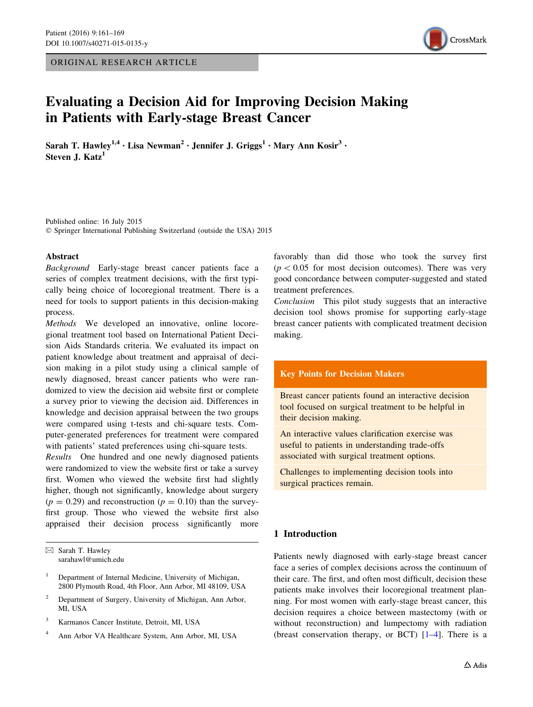ORIGINAL RESEARCH ARTICLE



# Evaluating a Decision Aid for Improving Decision Making in Patients with Early-stage Breast Cancer

Sarah T. Hawley<sup>1,4</sup> • Lisa Newman<sup>2</sup> • Jennifer J. Griggs<sup>1</sup> • Mary Ann Kosir<sup>3</sup> • Steven I. Katz<sup>1</sup>

Published online: 16 July 2015 - Springer International Publishing Switzerland (outside the USA) 2015

#### Abstract

Background Early-stage breast cancer patients face a series of complex treatment decisions, with the first typically being choice of locoregional treatment. There is a need for tools to support patients in this decision-making process.

Methods We developed an innovative, online locoregional treatment tool based on International Patient Decision Aids Standards criteria. We evaluated its impact on patient knowledge about treatment and appraisal of decision making in a pilot study using a clinical sample of newly diagnosed, breast cancer patients who were randomized to view the decision aid website first or complete a survey prior to viewing the decision aid. Differences in knowledge and decision appraisal between the two groups were compared using t-tests and chi-square tests. Computer-generated preferences for treatment were compared with patients' stated preferences using chi-square tests.

Results One hundred and one newly diagnosed patients were randomized to view the website first or take a survey first. Women who viewed the website first had slightly higher, though not significantly, knowledge about surgery  $(p = 0.29)$  and reconstruction  $(p = 0.10)$  than the surveyfirst group. Those who viewed the website first also appraised their decision process significantly more

- <sup>1</sup> Department of Internal Medicine, University of Michigan, 2800 Plymouth Road, 4th Floor, Ann Arbor, MI 48109, USA
- <sup>2</sup> Department of Surgery, University of Michigan, Ann Arbor, MI, USA
- <sup>3</sup> Karmanos Cancer Institute, Detroit, MI, USA
- <sup>4</sup> Ann Arbor VA Healthcare System, Ann Arbor, MI, USA

favorably than did those who took the survey first  $(p < 0.05$  for most decision outcomes). There was very good concordance between computer-suggested and stated treatment preferences.

Conclusion This pilot study suggests that an interactive decision tool shows promise for supporting early-stage breast cancer patients with complicated treatment decision making.

## Key Points for Decision Makers

Breast cancer patients found an interactive decision tool focused on surgical treatment to be helpful in their decision making.

An interactive values clarification exercise was useful to patients in understanding trade-offs associated with surgical treatment options.

Challenges to implementing decision tools into surgical practices remain.

# 1 Introduction

Patients newly diagnosed with early-stage breast cancer face a series of complex decisions across the continuum of their care. The first, and often most difficult, decision these patients make involves their locoregional treatment planning. For most women with early-stage breast cancer, this decision requires a choice between mastectomy (with or without reconstruction) and lumpectomy with radiation (breast conservation therapy, or BCT) [[1–4\]](#page-7-0). There is a

 $\boxtimes$  Sarah T. Hawley sarahawl@umich.edu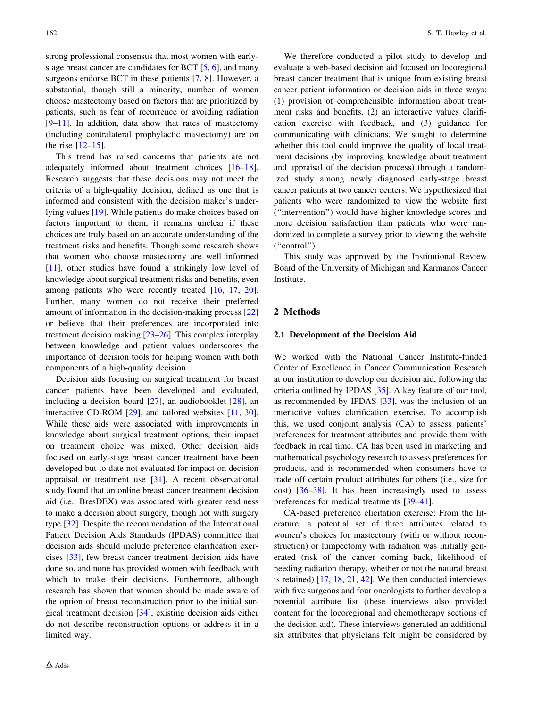strong professional consensus that most women with earlystage breast cancer are candidates for BCT  $[5, 6]$  $[5, 6]$  $[5, 6]$ , and many surgeons endorse BCT in these patients [\[7](#page-7-0), [8\]](#page-7-0). However, a substantial, though still a minority, number of women choose mastectomy based on factors that are prioritized by patients, such as fear of recurrence or avoiding radiation  $[9-11]$ . In addition, data show that rates of mastectomy (including contralateral prophylactic mastectomy) are on the rise  $[12-15]$ .

This trend has raised concerns that patients are not adequately informed about treatment choices [\[16–18](#page-7-0)]. Research suggests that these decisions may not meet the criteria of a high-quality decision, defined as one that is informed and consistent with the decision maker's underlying values [[19\]](#page-7-0). While patients do make choices based on factors important to them, it remains unclear if these choices are truly based on an accurate understanding of the treatment risks and benefits. Though some research shows that women who choose mastectomy are well informed [\[11](#page-7-0)], other studies have found a strikingly low level of knowledge about surgical treatment risks and benefits, even among patients who were recently treated [[16,](#page-7-0) [17,](#page-7-0) [20](#page-7-0)]. Further, many women do not receive their preferred amount of information in the decision-making process [[22\]](#page-7-0) or believe that their preferences are incorporated into treatment decision making [\[23](#page-7-0)[–26\]](#page-8-0). This complex interplay between knowledge and patient values underscores the importance of decision tools for helping women with both components of a high-quality decision.

Decision aids focusing on surgical treatment for breast cancer patients have been developed and evaluated, including a decision board  $[27]$  $[27]$ , an audiobooklet  $[28]$  $[28]$ , an interactive CD-ROM [[29\]](#page-8-0), and tailored websites [\[11](#page-7-0), [30](#page-8-0)]. While these aids were associated with improvements in knowledge about surgical treatment options, their impact on treatment choice was mixed. Other decision aids focused on early-stage breast cancer treatment have been developed but to date not evaluated for impact on decision appraisal or treatment use [[31\]](#page-8-0). A recent observational study found that an online breast cancer treatment decision aid (i.e., BresDEX) was associated with greater readiness to make a decision about surgery, though not with surgery type [\[32](#page-8-0)]. Despite the recommendation of the International Patient Decision Aids Standards (IPDAS) committee that decision aids should include preference clarification exercises [\[33](#page-8-0)], few breast cancer treatment decision aids have done so, and none has provided women with feedback with which to make their decisions. Furthermore, although research has shown that women should be made aware of the option of breast reconstruction prior to the initial surgical treatment decision [[34](#page-8-0)], existing decision aids either do not describe reconstruction options or address it in a limited way.

We therefore conducted a pilot study to develop and evaluate a web-based decision aid focused on locoregional breast cancer treatment that is unique from existing breast cancer patient information or decision aids in three ways: (1) provision of comprehensible information about treatment risks and benefits, (2) an interactive values clarification exercise with feedback, and (3) guidance for communicating with clinicians. We sought to determine whether this tool could improve the quality of local treatment decisions (by improving knowledge about treatment and appraisal of the decision process) through a randomized study among newly diagnosed early-stage breast cancer patients at two cancer centers. We hypothesized that patients who were randomized to view the website first (''intervention'') would have higher knowledge scores and more decision satisfaction than patients who were randomized to complete a survey prior to viewing the website (''control'').

This study was approved by the Institutional Review Board of the University of Michigan and Karmanos Cancer Institute.

# 2 Methods

#### 2.1 Development of the Decision Aid

We worked with the National Cancer Institute-funded Center of Excellence in Cancer Communication Research at our institution to develop our decision aid, following the criteria outlined by IPDAS [\[35](#page-8-0)]. A key feature of our tool, as recommended by IPDAS [[33\]](#page-8-0), was the inclusion of an interactive values clarification exercise. To accomplish this, we used conjoint analysis (CA) to assess patients' preferences for treatment attributes and provide them with feedback in real time. CA has been used in marketing and mathematical psychology research to assess preferences for products, and is recommended when consumers have to trade off certain product attributes for others (i.e., size for cost) [[36–38\]](#page-8-0). It has been increasingly used to assess preferences for medical treatments [\[39–41](#page-8-0)].

CA-based preference elicitation exercise: From the literature, a potential set of three attributes related to women's choices for mastectomy (with or without reconstruction) or lumpectomy with radiation was initially generated (risk of the cancer coming back, likelihood of needing radiation therapy, whether or not the natural breast is retained) [\[17](#page-7-0), [18,](#page-7-0) [21,](#page-7-0) [42](#page-8-0)]. We then conducted interviews with five surgeons and four oncologists to further develop a potential attribute list (these interviews also provided content for the locoregional and chemotherapy sections of the decision aid). These interviews generated an additional six attributes that physicians felt might be considered by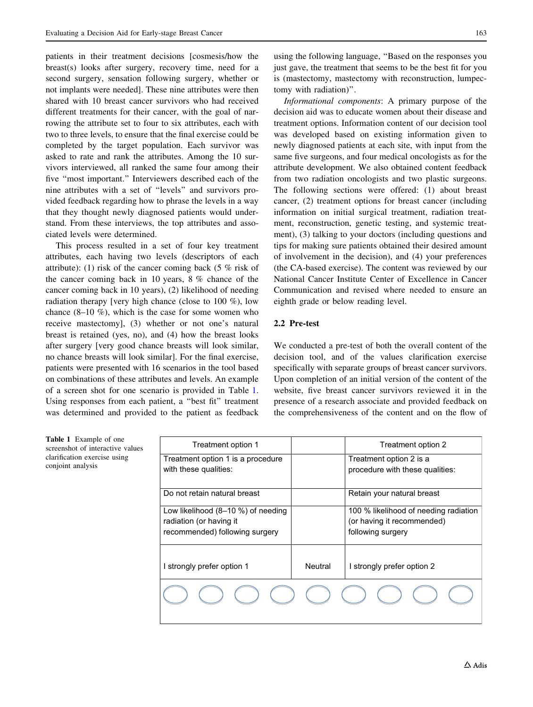patients in their treatment decisions [cosmesis/how the breast(s) looks after surgery, recovery time, need for a second surgery, sensation following surgery, whether or not implants were needed]. These nine attributes were then shared with 10 breast cancer survivors who had received different treatments for their cancer, with the goal of narrowing the attribute set to four to six attributes, each with two to three levels, to ensure that the final exercise could be completed by the target population. Each survivor was asked to rate and rank the attributes. Among the 10 survivors interviewed, all ranked the same four among their five "most important." Interviewers described each of the nine attributes with a set of ''levels'' and survivors provided feedback regarding how to phrase the levels in a way that they thought newly diagnosed patients would understand. From these interviews, the top attributes and associated levels were determined.

This process resulted in a set of four key treatment attributes, each having two levels (descriptors of each attribute): (1) risk of the cancer coming back (5  $\%$  risk of the cancer coming back in 10 years, 8 % chance of the cancer coming back in 10 years), (2) likelihood of needing radiation therapy [very high chance (close to 100 %), low chance  $(8-10\%)$ , which is the case for some women who receive mastectomy], (3) whether or not one's natural breast is retained (yes, no), and (4) how the breast looks after surgery [very good chance breasts will look similar, no chance breasts will look similar]. For the final exercise, patients were presented with 16 scenarios in the tool based on combinations of these attributes and levels. An example of a screen shot for one scenario is provided in Table 1. Using responses from each patient, a ''best fit'' treatment was determined and provided to the patient as feedback

using the following language, ''Based on the responses you just gave, the treatment that seems to be the best fit for you is (mastectomy, mastectomy with reconstruction, lumpectomy with radiation)''.

Informational components: A primary purpose of the decision aid was to educate women about their disease and treatment options. Information content of our decision tool was developed based on existing information given to newly diagnosed patients at each site, with input from the same five surgeons, and four medical oncologists as for the attribute development. We also obtained content feedback from two radiation oncologists and two plastic surgeons. The following sections were offered: (1) about breast cancer, (2) treatment options for breast cancer (including information on initial surgical treatment, radiation treatment, reconstruction, genetic testing, and systemic treatment), (3) talking to your doctors (including questions and tips for making sure patients obtained their desired amount of involvement in the decision), and (4) your preferences (the CA-based exercise). The content was reviewed by our National Cancer Institute Center of Excellence in Cancer Communication and revised where needed to ensure an eighth grade or below reading level.

# 2.2 Pre-test

We conducted a pre-test of both the overall content of the decision tool, and of the values clarification exercise specifically with separate groups of breast cancer survivors. Upon completion of an initial version of the content of the website, five breast cancer survivors reviewed it in the presence of a research associate and provided feedback on the comprehensiveness of the content and on the flow of

Table 1 Example of one screenshot of interactive values clarification exercise using conjoint analysis

| Treatment option 1                   |                | Treatment option 2                    |  |  |
|--------------------------------------|----------------|---------------------------------------|--|--|
| Treatment option 1 is a procedure    |                | Treatment option 2 is a               |  |  |
| with these qualities:                |                | procedure with these qualities:       |  |  |
|                                      |                |                                       |  |  |
| Do not retain natural breast         |                | Retain your natural breast            |  |  |
| Low likelihood $(8-10\%)$ of needing |                | 100 % likelihood of needing radiation |  |  |
| radiation (or having it              |                | (or having it recommended)            |  |  |
| recommended) following surgery       |                | following surgery                     |  |  |
|                                      |                |                                       |  |  |
|                                      |                |                                       |  |  |
| I strongly prefer option 1           | <b>Neutral</b> | I strongly prefer option 2            |  |  |
|                                      |                |                                       |  |  |
|                                      |                |                                       |  |  |
|                                      |                |                                       |  |  |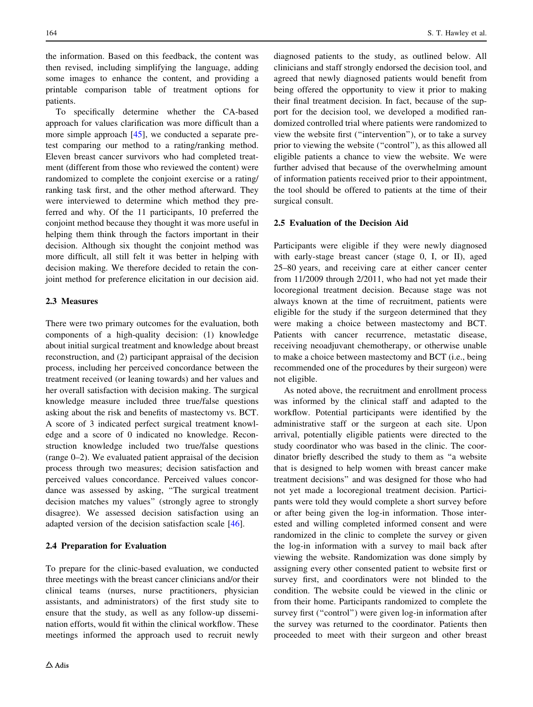the information. Based on this feedback, the content was then revised, including simplifying the language, adding some images to enhance the content, and providing a printable comparison table of treatment options for patients.

To specifically determine whether the CA-based approach for values clarification was more difficult than a more simple approach [\[45](#page-8-0)], we conducted a separate pretest comparing our method to a rating/ranking method. Eleven breast cancer survivors who had completed treatment (different from those who reviewed the content) were randomized to complete the conjoint exercise or a rating/ ranking task first, and the other method afterward. They were interviewed to determine which method they preferred and why. Of the 11 participants, 10 preferred the conjoint method because they thought it was more useful in helping them think through the factors important in their decision. Although six thought the conjoint method was more difficult, all still felt it was better in helping with decision making. We therefore decided to retain the conjoint method for preference elicitation in our decision aid.

## 2.3 Measures

There were two primary outcomes for the evaluation, both components of a high-quality decision: (1) knowledge about initial surgical treatment and knowledge about breast reconstruction, and (2) participant appraisal of the decision process, including her perceived concordance between the treatment received (or leaning towards) and her values and her overall satisfaction with decision making. The surgical knowledge measure included three true/false questions asking about the risk and benefits of mastectomy vs. BCT. A score of 3 indicated perfect surgical treatment knowledge and a score of 0 indicated no knowledge. Reconstruction knowledge included two true/false questions (range 0–2). We evaluated patient appraisal of the decision process through two measures; decision satisfaction and perceived values concordance. Perceived values concordance was assessed by asking, ''The surgical treatment decision matches my values'' (strongly agree to strongly disagree). We assessed decision satisfaction using an adapted version of the decision satisfaction scale [[46\]](#page-8-0).

## 2.4 Preparation for Evaluation

To prepare for the clinic-based evaluation, we conducted three meetings with the breast cancer clinicians and/or their clinical teams (nurses, nurse practitioners, physician assistants, and administrators) of the first study site to ensure that the study, as well as any follow-up dissemination efforts, would fit within the clinical workflow. These meetings informed the approach used to recruit newly diagnosed patients to the study, as outlined below. All clinicians and staff strongly endorsed the decision tool, and agreed that newly diagnosed patients would benefit from being offered the opportunity to view it prior to making their final treatment decision. In fact, because of the support for the decision tool, we developed a modified randomized controlled trial where patients were randomized to view the website first (''intervention''), or to take a survey prior to viewing the website (''control''), as this allowed all eligible patients a chance to view the website. We were further advised that because of the overwhelming amount of information patients received prior to their appointment, the tool should be offered to patients at the time of their surgical consult.

## 2.5 Evaluation of the Decision Aid

Participants were eligible if they were newly diagnosed with early-stage breast cancer (stage 0, I, or II), aged 25–80 years, and receiving care at either cancer center from 11/2009 through 2/2011, who had not yet made their locoregional treatment decision. Because stage was not always known at the time of recruitment, patients were eligible for the study if the surgeon determined that they were making a choice between mastectomy and BCT. Patients with cancer recurrence, metastatic disease, receiving neoadjuvant chemotherapy, or otherwise unable to make a choice between mastectomy and BCT (i.e., being recommended one of the procedures by their surgeon) were not eligible.

As noted above, the recruitment and enrollment process was informed by the clinical staff and adapted to the workflow. Potential participants were identified by the administrative staff or the surgeon at each site. Upon arrival, potentially eligible patients were directed to the study coordinator who was based in the clinic. The coordinator briefly described the study to them as ''a website that is designed to help women with breast cancer make treatment decisions'' and was designed for those who had not yet made a locoregional treatment decision. Participants were told they would complete a short survey before or after being given the log-in information. Those interested and willing completed informed consent and were randomized in the clinic to complete the survey or given the log-in information with a survey to mail back after viewing the website. Randomization was done simply by assigning every other consented patient to website first or survey first, and coordinators were not blinded to the condition. The website could be viewed in the clinic or from their home. Participants randomized to complete the survey first ("control") were given log-in information after the survey was returned to the coordinator. Patients then proceeded to meet with their surgeon and other breast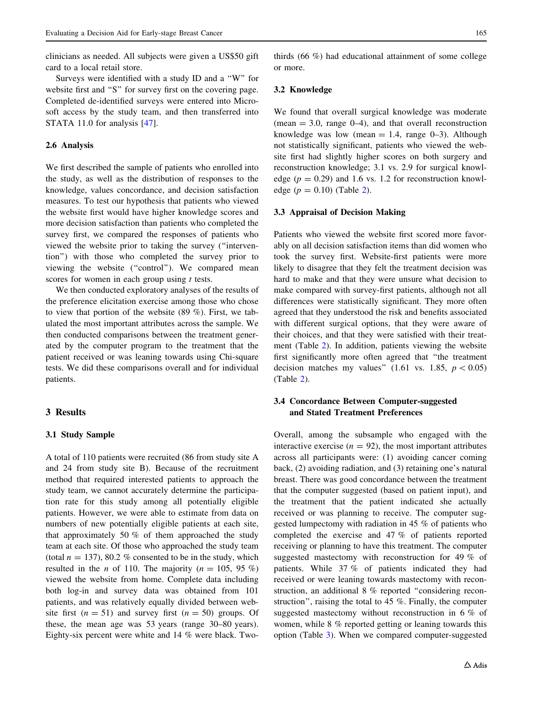clinicians as needed. All subjects were given a US\$50 gift card to a local retail store.

Surveys were identified with a study ID and a ''W'' for website first and "S" for survey first on the covering page. Completed de-identified surveys were entered into Microsoft access by the study team, and then transferred into STATA 11.0 for analysis [\[47](#page-8-0)].

# 2.6 Analysis

We first described the sample of patients who enrolled into the study, as well as the distribution of responses to the knowledge, values concordance, and decision satisfaction measures. To test our hypothesis that patients who viewed the website first would have higher knowledge scores and more decision satisfaction than patients who completed the survey first, we compared the responses of patients who viewed the website prior to taking the survey (''intervention'') with those who completed the survey prior to viewing the website (''control''). We compared mean scores for women in each group using t tests.

We then conducted exploratory analyses of the results of the preference elicitation exercise among those who chose to view that portion of the website (89 %). First, we tabulated the most important attributes across the sample. We then conducted comparisons between the treatment generated by the computer program to the treatment that the patient received or was leaning towards using Chi-square tests. We did these comparisons overall and for individual patients.

#### 3 Results

#### 3.1 Study Sample

A total of 110 patients were recruited (86 from study site A and 24 from study site B). Because of the recruitment method that required interested patients to approach the study team, we cannot accurately determine the participation rate for this study among all potentially eligible patients. However, we were able to estimate from data on numbers of new potentially eligible patients at each site, that approximately 50 % of them approached the study team at each site. Of those who approached the study team (total  $n = 137$ ), 80.2 % consented to be in the study, which resulted in the *n* of 110. The majority ( $n = 105, 95\%$ ) viewed the website from home. Complete data including both log-in and survey data was obtained from 101 patients, and was relatively equally divided between website first ( $n = 51$ ) and survey first ( $n = 50$ ) groups. Of these, the mean age was 53 years (range 30–80 years). Eighty-six percent were white and 14 % were black. Two-

thirds (66 %) had educational attainment of some college or more.

## 3.2 Knowledge

We found that overall surgical knowledge was moderate (mean  $= 3.0$ , range  $(0-4)$ ), and that overall reconstruction knowledge was low (mean  $= 1.4$ , range 0–3). Although not statistically significant, patients who viewed the website first had slightly higher scores on both surgery and reconstruction knowledge; 3.1 vs. 2.9 for surgical knowledge ( $p = 0.29$ ) and 1.6 vs. 1.2 for reconstruction knowledge ( $p = 0.10$ ) (Table [2\)](#page-5-0).

#### 3.3 Appraisal of Decision Making

Patients who viewed the website first scored more favorably on all decision satisfaction items than did women who took the survey first. Website-first patients were more likely to disagree that they felt the treatment decision was hard to make and that they were unsure what decision to make compared with survey-first patients, although not all differences were statistically significant. They more often agreed that they understood the risk and benefits associated with different surgical options, that they were aware of their choices, and that they were satisfied with their treatment (Table [2\)](#page-5-0). In addition, patients viewing the website first significantly more often agreed that ''the treatment decision matches my values" (1.61 vs. 1.85,  $p < 0.05$ ) (Table [2\)](#page-5-0).

# 3.4 Concordance Between Computer-suggested and Stated Treatment Preferences

Overall, among the subsample who engaged with the interactive exercise ( $n = 92$ ), the most important attributes across all participants were: (1) avoiding cancer coming back, (2) avoiding radiation, and (3) retaining one's natural breast. There was good concordance between the treatment that the computer suggested (based on patient input), and the treatment that the patient indicated she actually received or was planning to receive. The computer suggested lumpectomy with radiation in 45 % of patients who completed the exercise and 47 % of patients reported receiving or planning to have this treatment. The computer suggested mastectomy with reconstruction for 49 % of patients. While 37 % of patients indicated they had received or were leaning towards mastectomy with reconstruction, an additional 8 % reported ''considering reconstruction'', raising the total to 45 %. Finally, the computer suggested mastectomy without reconstruction in 6 % of women, while 8 % reported getting or leaning towards this option (Table [3\)](#page-5-0). When we compared computer-suggested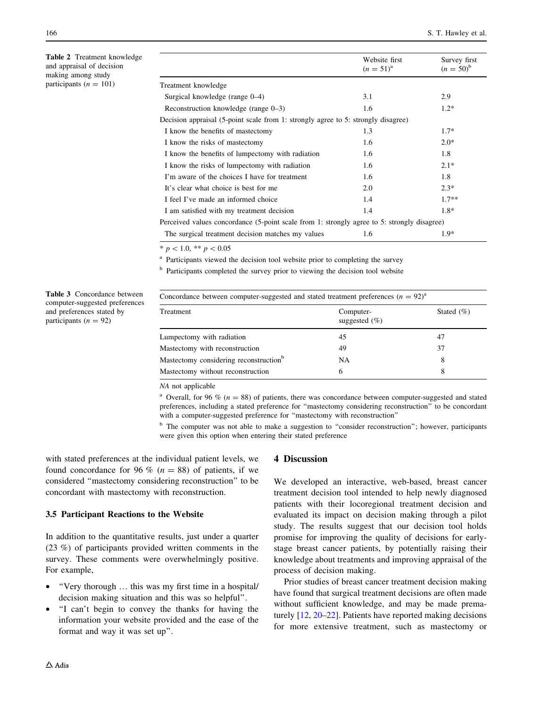<span id="page-5-0"></span>Table 2 Treatment knowledge and appraisal of decision making among study participants ( $n = 101$ )

|                                                                                             | Website first<br>$(n = 51)^{a}$ | Survey first<br>$(n = 50)^{b}$ |  |
|---------------------------------------------------------------------------------------------|---------------------------------|--------------------------------|--|
| Treatment knowledge                                                                         |                                 |                                |  |
| Surgical knowledge (range 0–4)                                                              | 3.1                             | 2.9                            |  |
| Reconstruction knowledge (range $0-3$ )                                                     | 1.6                             | $1.2*$                         |  |
| Decision appraisal (5-point scale from 1: strongly agree to 5: strongly disagree)           |                                 |                                |  |
| I know the benefits of mastectomy                                                           | 1.3                             | $1.7*$                         |  |
| I know the risks of mastectomy                                                              | 1.6                             | $2.0*$                         |  |
| I know the benefits of lumpectomy with radiation                                            | 1.6                             | 1.8                            |  |
| I know the risks of lumpectomy with radiation                                               | 1.6                             | $2.1*$                         |  |
| I'm aware of the choices I have for treatment                                               | 1.6                             | 1.8                            |  |
| It's clear what choice is best for me                                                       | 2.0                             | $2.3*$                         |  |
| I feel I've made an informed choice                                                         | 1.4                             | $1.7**$                        |  |
| I am satisfied with my treatment decision                                                   | 1.4                             | $1.8*$                         |  |
| Perceived values concordance (5-point scale from 1: strongly agree to 5: strongly disagree) |                                 |                                |  |
| The surgical treatment decision matches my values                                           | 1.6                             | $1.9*$                         |  |

 $* p < 1.0, ** p < 0.05$ 

<sup>a</sup> Participants viewed the decision tool website prior to completing the survey

<sup>b</sup> Participants completed the survey prior to viewing the decision tool website

Table 3 Concordance between computer-suggested preferences and preferences stated by participants ( $n = 92$ )

| Concordance between computer-suggested and stated treatment preferences $(n = 92)^{a}$ |                               |                |  |  |
|----------------------------------------------------------------------------------------|-------------------------------|----------------|--|--|
| Treatment                                                                              | Computer-<br>suggested $(\%)$ | Stated $(\% )$ |  |  |
| Lumpectomy with radiation                                                              | 45                            | 47             |  |  |
| Mastectomy with reconstruction                                                         | 49                            | 37             |  |  |
| Mastectomy considering reconstruction <sup>b</sup>                                     | NA.                           | 8              |  |  |
| Mastectomy without reconstruction                                                      | 6                             | 8              |  |  |

NA not applicable

<sup>a</sup> Overall, for 96 % ( $n = 88$ ) of patients, there was concordance between computer-suggested and stated preferences, including a stated preference for ''mastectomy considering reconstruction'' to be concordant with a computer-suggested preference for ''mastectomy with reconstruction''

<sup>b</sup> The computer was not able to make a suggestion to "consider reconstruction"; however, participants were given this option when entering their stated preference

with stated preferences at the individual patient levels, we found concordance for 96 % ( $n = 88$ ) of patients, if we considered ''mastectomy considering reconstruction'' to be concordant with mastectomy with reconstruction.

# 3.5 Participant Reactions to the Website

In addition to the quantitative results, just under a quarter (23 %) of participants provided written comments in the survey. These comments were overwhelmingly positive. For example,

- ''Very thorough … this was my first time in a hospital/ decision making situation and this was so helpful''.
- ''I can't begin to convey the thanks for having the information your website provided and the ease of the format and way it was set up''.

# 4 Discussion

We developed an interactive, web-based, breast cancer treatment decision tool intended to help newly diagnosed patients with their locoregional treatment decision and evaluated its impact on decision making through a pilot study. The results suggest that our decision tool holds promise for improving the quality of decisions for earlystage breast cancer patients, by potentially raising their knowledge about treatments and improving appraisal of the process of decision making.

Prior studies of breast cancer treatment decision making have found that surgical treatment decisions are often made without sufficient knowledge, and may be made prematurely [\[12](#page-7-0), [20–22](#page-7-0)]. Patients have reported making decisions for more extensive treatment, such as mastectomy or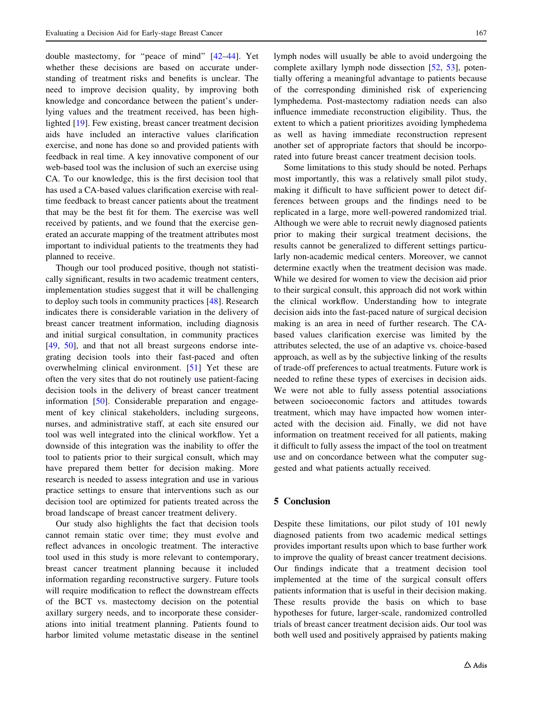double mastectomy, for ''peace of mind'' [[42–44\]](#page-8-0). Yet whether these decisions are based on accurate understanding of treatment risks and benefits is unclear. The need to improve decision quality, by improving both knowledge and concordance between the patient's underlying values and the treatment received, has been highlighted [[19\]](#page-7-0). Few existing, breast cancer treatment decision aids have included an interactive values clarification exercise, and none has done so and provided patients with feedback in real time. A key innovative component of our web-based tool was the inclusion of such an exercise using CA. To our knowledge, this is the first decision tool that has used a CA-based values clarification exercise with realtime feedback to breast cancer patients about the treatment that may be the best fit for them. The exercise was well received by patients, and we found that the exercise generated an accurate mapping of the treatment attributes most important to individual patients to the treatments they had planned to receive.

Though our tool produced positive, though not statistically significant, results in two academic treatment centers, implementation studies suggest that it will be challenging to deploy such tools in community practices [\[48](#page-8-0)]. Research indicates there is considerable variation in the delivery of breast cancer treatment information, including diagnosis and initial surgical consultation, in community practices [\[49](#page-8-0), [50\]](#page-8-0), and that not all breast surgeons endorse integrating decision tools into their fast-paced and often overwhelming clinical environment. [[51\]](#page-8-0) Yet these are often the very sites that do not routinely use patient-facing decision tools in the delivery of breast cancer treatment information [\[50](#page-8-0)]. Considerable preparation and engagement of key clinical stakeholders, including surgeons, nurses, and administrative staff, at each site ensured our tool was well integrated into the clinical workflow. Yet a downside of this integration was the inability to offer the tool to patients prior to their surgical consult, which may have prepared them better for decision making. More research is needed to assess integration and use in various practice settings to ensure that interventions such as our decision tool are optimized for patients treated across the broad landscape of breast cancer treatment delivery.

Our study also highlights the fact that decision tools cannot remain static over time; they must evolve and reflect advances in oncologic treatment. The interactive tool used in this study is more relevant to contemporary, breast cancer treatment planning because it included information regarding reconstructive surgery. Future tools will require modification to reflect the downstream effects of the BCT vs. mastectomy decision on the potential axillary surgery needs, and to incorporate these considerations into initial treatment planning. Patients found to harbor limited volume metastatic disease in the sentinel lymph nodes will usually be able to avoid undergoing the complete axillary lymph node dissection [\[52](#page-8-0), [53\]](#page-8-0), potentially offering a meaningful advantage to patients because of the corresponding diminished risk of experiencing lymphedema. Post-mastectomy radiation needs can also influence immediate reconstruction eligibility. Thus, the extent to which a patient prioritizes avoiding lymphedema as well as having immediate reconstruction represent another set of appropriate factors that should be incorporated into future breast cancer treatment decision tools.

Some limitations to this study should be noted. Perhaps most importantly, this was a relatively small pilot study, making it difficult to have sufficient power to detect differences between groups and the findings need to be replicated in a large, more well-powered randomized trial. Although we were able to recruit newly diagnosed patients prior to making their surgical treatment decisions, the results cannot be generalized to different settings particularly non-academic medical centers. Moreover, we cannot determine exactly when the treatment decision was made. While we desired for women to view the decision aid prior to their surgical consult, this approach did not work within the clinical workflow. Understanding how to integrate decision aids into the fast-paced nature of surgical decision making is an area in need of further research. The CAbased values clarification exercise was limited by the attributes selected, the use of an adaptive vs. choice-based approach, as well as by the subjective linking of the results of trade-off preferences to actual treatments. Future work is needed to refine these types of exercises in decision aids. We were not able to fully assess potential associations between socioeconomic factors and attitudes towards treatment, which may have impacted how women interacted with the decision aid. Finally, we did not have information on treatment received for all patients, making it difficult to fully assess the impact of the tool on treatment use and on concordance between what the computer suggested and what patients actually received.

## 5 Conclusion

Despite these limitations, our pilot study of 101 newly diagnosed patients from two academic medical settings provides important results upon which to base further work to improve the quality of breast cancer treatment decisions. Our findings indicate that a treatment decision tool implemented at the time of the surgical consult offers patients information that is useful in their decision making. These results provide the basis on which to base hypotheses for future, larger-scale, randomized controlled trials of breast cancer treatment decision aids. Our tool was both well used and positively appraised by patients making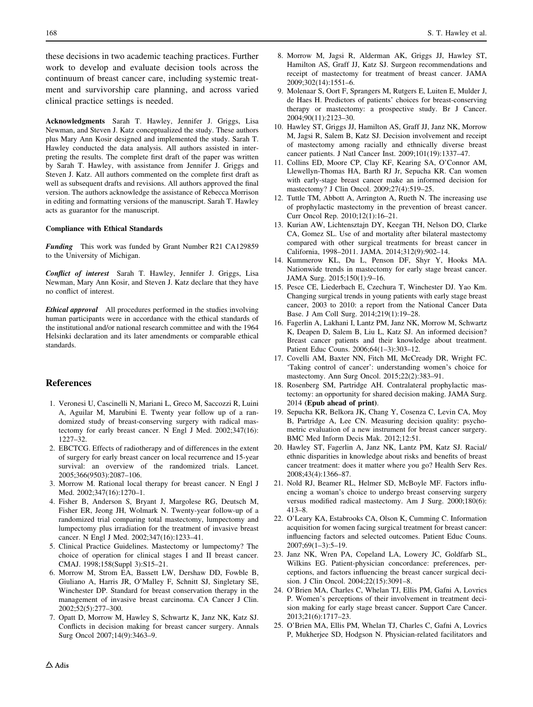<span id="page-7-0"></span>these decisions in two academic teaching practices. Further work to develop and evaluate decision tools across the continuum of breast cancer care, including systemic treatment and survivorship care planning, and across varied clinical practice settings is needed.

Acknowledgments Sarah T. Hawley, Jennifer J. Griggs, Lisa Newman, and Steven J. Katz conceptualized the study. These authors plus Mary Ann Kosir designed and implemented the study. Sarah T. Hawley conducted the data analysis. All authors assisted in interpreting the results. The complete first draft of the paper was written by Sarah T. Hawley, with assistance from Jennifer J. Griggs and Steven J. Katz. All authors commented on the complete first draft as well as subsequent drafts and revisions. All authors approved the final version. The authors acknowledge the assistance of Rebecca Morrison in editing and formatting versions of the manuscript. Sarah T. Hawley acts as guarantor for the manuscript.

#### Compliance with Ethical Standards

Funding This work was funded by Grant Number R21 CA129859 to the University of Michigan.

Conflict of interest Sarah T. Hawley, Jennifer J. Griggs, Lisa Newman, Mary Ann Kosir, and Steven J. Katz declare that they have no conflict of interest.

Ethical approval All procedures performed in the studies involving human participants were in accordance with the ethical standards of the institutional and/or national research committee and with the 1964 Helsinki declaration and its later amendments or comparable ethical standards.

## References

- 1. Veronesi U, Cascinelli N, Mariani L, Greco M, Saccozzi R, Luini A, Aguilar M, Marubini E. Twenty year follow up of a randomized study of breast-conserving surgery with radical mastectomy for early breast cancer. N Engl J Med. 2002;347(16): 1227–32.
- 2. EBCTCG. Effects of radiotherapy and of differences in the extent of surgery for early breast cancer on local recurrence and 15-year survival: an overview of the randomized trials. Lancet. 2005;366(9503):2087–106.
- 3. Morrow M. Rational local therapy for breast cancer. N Engl J Med. 2002;347(16):1270–1.
- 4. Fisher B, Anderson S, Bryant J, Margolese RG, Deutsch M, Fisher ER, Jeong JH, Wolmark N. Twenty-year follow-up of a randomized trial comparing total mastectomy, lumpectomy and lumpectomy plus irradiation for the treatment of invasive breast cancer. N Engl J Med. 2002;347(16):1233–41.
- 5. Clinical Practice Guidelines. Mastectomy or lumpectomy? The choice of operation for clinical stages I and II breast cancer. CMAJ. 1998;158(Suppl 3):S15–21.
- 6. Morrow M, Strom EA, Bassett LW, Dershaw DD, Fowble B, Giuliano A, Harris JR, O'Malley F, Schnitt SJ, Singletary SE, Winchester DP. Standard for breast conservation therapy in the management of invasive breast carcinoma. CA Cancer J Clin. 2002;52(5):277–300.
- 7. Opatt D, Morrow M, Hawley S, Schwartz K, Janz NK, Katz SJ. Conflicts in decision making for breast cancer surgery. Annals Surg Oncol 2007;14(9):3463–9.
- 8. Morrow M, Jagsi R, Alderman AK, Griggs JJ, Hawley ST, Hamilton AS, Graff JJ, Katz SJ. Surgeon recommendations and receipt of mastectomy for treatment of breast cancer. JAMA 2009;302(14):1551–6.
- 9. Molenaar S, Oort F, Sprangers M, Rutgers E, Luiten E, Mulder J, de Haes H. Predictors of patients' choices for breast-conserving therapy or mastectomy: a prospective study. Br J Cancer. 2004;90(11):2123–30.
- 10. Hawley ST, Griggs JJ, Hamilton AS, Graff JJ, Janz NK, Morrow M, Jagsi R, Salem B, Katz SJ. Decision involvement and receipt of mastectomy among racially and ethnically diverse breast cancer patients. J Natl Cancer Inst. 2009;101(19):1337–47.
- 11. Collins ED, Moore CP, Clay KF, Kearing SA, O'Connor AM, Llewellyn-Thomas HA, Barth RJ Jr, Sepucha KR. Can women with early-stage breast cancer make an informed decision for mastectomy? J Clin Oncol. 2009;27(4):519–25.
- 12. Tuttle TM, Abbott A, Arrington A, Rueth N. The increasing use of prophylactic mastectomy in the prevention of breast cancer. Curr Oncol Rep. 2010;12(1):16–21.
- 13. Kurian AW, Lichtensztajn DY, Keegan TH, Nelson DO, Clarke CA, Gomez SL. Use of and mortality after bilateral mastectomy compared with other surgical treatments for breast cancer in California, 1998–2011. JAMA. 2014;312(9):902–14.
- 14. Kummerow KL, Du L, Penson DF, Shyr Y, Hooks MA. Nationwide trends in mastectomy for early stage breast cancer. JAMA Surg. 2015;150(1):9–16.
- 15. Pesce CE, Liederbach E, Czechura T, Winchester DJ. Yao Km. Changing surgical trends in young patients with early stage breast cancer, 2003 to 2010: a report from the National Cancer Data Base. J Am Coll Surg. 2014;219(1):19–28.
- 16. Fagerlin A, Lakhani I, Lantz PM, Janz NK, Morrow M, Schwartz K, Deapen D, Salem B, Liu L, Katz SJ. An informed decision? Breast cancer patients and their knowledge about treatment. Patient Educ Couns. 2006;64(1–3):303–12.
- 17. Covelli AM, Baxter NN, Fitch MI, McCready DR, Wright FC. 'Taking control of cancer': understanding women's choice for mastectomy. Ann Surg Oncol. 2015;22(2):383–91.
- 18. Rosenberg SM, Partridge AH. Contralateral prophylactic mastectomy: an opportunity for shared decision making. JAMA Surg. 2014 (Epub ahead of print).
- 19. Sepucha KR, Belkora JK, Chang Y, Cosenza C, Levin CA, Moy B, Partridge A, Lee CN. Measuring decision quality: psychometric evaluation of a new instrument for breast cancer surgery. BMC Med Inform Decis Mak. 2012;12:51.
- 20. Hawley ST, Fagerlin A, Janz NK, Lantz PM, Katz SJ. Racial/ ethnic disparities in knowledge about risks and benefits of breast cancer treatment: does it matter where you go? Health Serv Res. 2008;43(4):1366–87.
- 21. Nold RJ, Beamer RL, Helmer SD, McBoyle MF. Factors influencing a woman's choice to undergo breast conserving surgery versus modified radical mastectomy. Am J Surg. 2000;180(6): 413–8.
- 22. O'Leary KA, Estabrooks CA, Olson K, Cumming C. Information acquisition for women facing surgical treatment for breast cancer: influencing factors and selected outcomes. Patient Educ Couns. 2007;69(1–3):5–19.
- 23. Janz NK, Wren PA, Copeland LA, Lowery JC, Goldfarb SL, Wilkins EG. Patient-physician concordance: preferences, perceptions, and factors influencing the breast cancer surgical decision. J Clin Oncol. 2004;22(15):3091–8.
- 24. O'Brien MA, Charles C, Whelan TJ, Ellis PM, Gafni A, Lovrics P. Women's perceptions of their involvement in treatment decision making for early stage breast cancer. Support Care Cancer. 2013;21(6):1717–23.
- 25. O'Brien MA, Ellis PM, Whelan TJ, Charles C, Gafni A, Lovrics P, Mukherjee SD, Hodgson N. Physician-related facilitators and